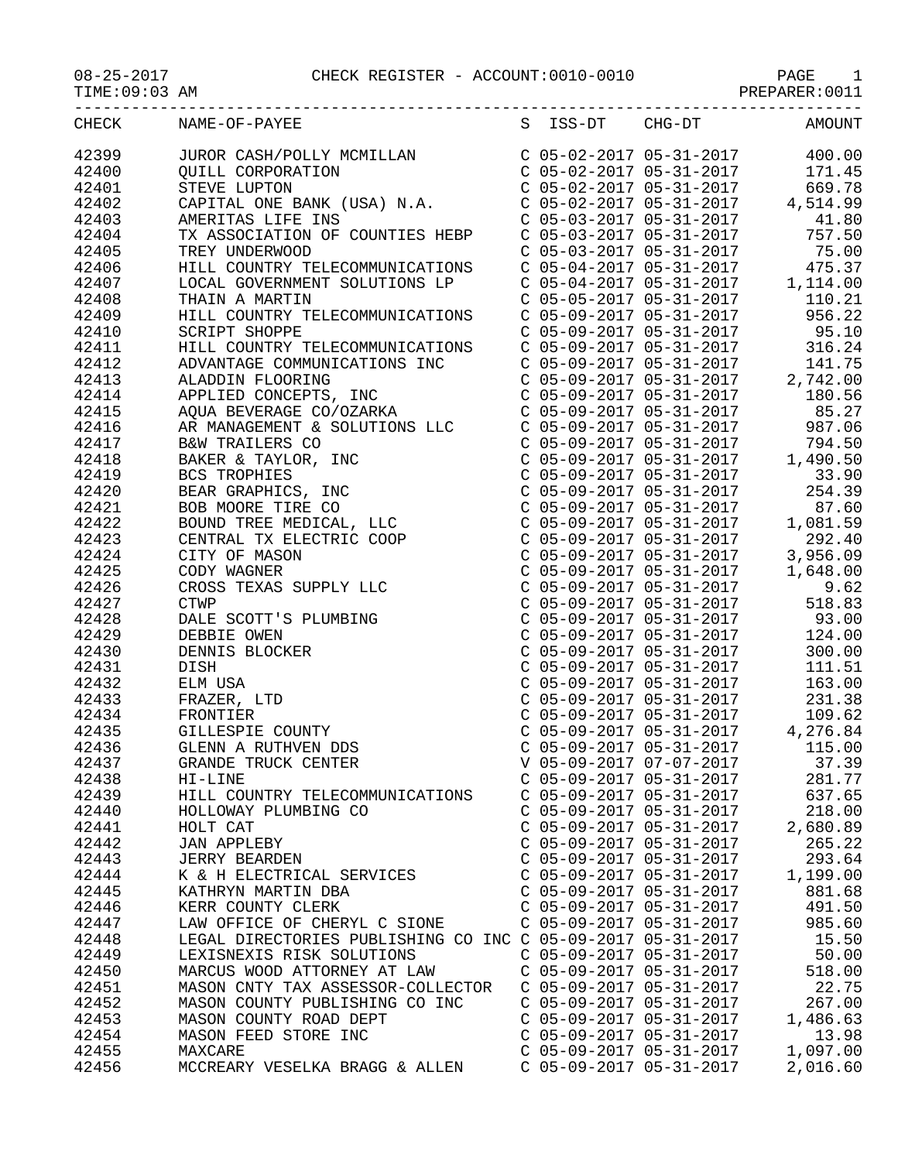| TIME: 09:03 AM          |                                                                                                                                                                                                                                                             |                           |                                                                                                                                                                                                                                                                                                       |
|-------------------------|-------------------------------------------------------------------------------------------------------------------------------------------------------------------------------------------------------------------------------------------------------------|---------------------------|-------------------------------------------------------------------------------------------------------------------------------------------------------------------------------------------------------------------------------------------------------------------------------------------------------|
| CHECK                   | S ISS-DT CHG-DT<br>NAME-OF-PAYEE                                                                                                                                                                                                                            |                           | <b>AMOUNT</b>                                                                                                                                                                                                                                                                                         |
|                         | JUROR CASH/POLLY MCMILLAN<br>C 05-02-2017 05-31-2017 400.00<br>C 05-02-2017 05-31-2017 171.45<br>STEVE LUPTON<br>C 05-02-2017 05-31-2017 171.45<br>C 05-02-2017 05-31-2017 669.78<br>CAPITAL ONE BANK (USA) N.A.<br>C 05-02-2017 05-31-20                   |                           |                                                                                                                                                                                                                                                                                                       |
| 42399<br>42400<br>42400 |                                                                                                                                                                                                                                                             |                           |                                                                                                                                                                                                                                                                                                       |
| 42401                   |                                                                                                                                                                                                                                                             |                           |                                                                                                                                                                                                                                                                                                       |
| 42402                   |                                                                                                                                                                                                                                                             |                           |                                                                                                                                                                                                                                                                                                       |
| 42403                   |                                                                                                                                                                                                                                                             |                           |                                                                                                                                                                                                                                                                                                       |
| 42404                   |                                                                                                                                                                                                                                                             |                           |                                                                                                                                                                                                                                                                                                       |
| 42405                   |                                                                                                                                                                                                                                                             |                           |                                                                                                                                                                                                                                                                                                       |
| 42406                   |                                                                                                                                                                                                                                                             |                           |                                                                                                                                                                                                                                                                                                       |
| 42407                   |                                                                                                                                                                                                                                                             |                           |                                                                                                                                                                                                                                                                                                       |
| 42408                   | THAIN A MARTIN                                                                                                                                                                                                                                              |                           |                                                                                                                                                                                                                                                                                                       |
| 42409                   | HILL COUNTRY TELECOMMUNICATIONS                                                                                                                                                                                                                             |                           |                                                                                                                                                                                                                                                                                                       |
| 42410                   | SCRIPT SHOPPE                                                                                                                                                                                                                                               |                           | $\begin{tabular}{lllllllllllll} \text{C} & 05-04-2017 & 05-31-2017 & & 1,114.00 \\ \text{C} & 05-05-2017 & 05-31-2017 & & 110.21 \\ \text{C} & 05-09-2017 & 05-31-2017 & & 956.22 \\ \text{C} & 05-09-2017 & 05-31-2017 & & 316.24 \\ \text{C} & 05-09-2017 & 05-31-2017 & & 141.75 \\ \text{C} & 05$ |
| 42411                   | HILL COUNTRY TELECOMMUNICATIONS<br>ADVANTAGE COMMUNICATIONS INC<br>ALADDIN FLOORING<br>APPLIED CONCEPTS, INC<br>AOUA BEVERAGE CO (OZADEA                                                                                                                    |                           |                                                                                                                                                                                                                                                                                                       |
| 42412                   |                                                                                                                                                                                                                                                             |                           |                                                                                                                                                                                                                                                                                                       |
| 42413                   |                                                                                                                                                                                                                                                             |                           |                                                                                                                                                                                                                                                                                                       |
| 42414                   |                                                                                                                                                                                                                                                             |                           |                                                                                                                                                                                                                                                                                                       |
| 42415                   |                                                                                                                                                                                                                                                             |                           |                                                                                                                                                                                                                                                                                                       |
| 42416                   |                                                                                                                                                                                                                                                             |                           |                                                                                                                                                                                                                                                                                                       |
| 42417                   |                                                                                                                                                                                                                                                             |                           |                                                                                                                                                                                                                                                                                                       |
| 42418                   |                                                                                                                                                                                                                                                             |                           | C 05-09-2017 05-31-2017<br>C 05-09-2017 05-31-2017 180.56<br>C 05-09-2017 05-31-2017 85.27<br>C 05-09-2017 05-31-2017 987.06<br>C 05-09-2017 05-31-2017 1,490.50                                                                                                                                      |
| 42419                   |                                                                                                                                                                                                                                                             |                           |                                                                                                                                                                                                                                                                                                       |
| 42420                   |                                                                                                                                                                                                                                                             |                           | 254.39                                                                                                                                                                                                                                                                                                |
| 42421                   |                                                                                                                                                                                                                                                             |                           | C 05-09-2017 05-31-2017<br>C 05-09-2017 05-31-2017 33.90<br>C 05-09-2017 05-31-2017 254.39<br>C 05-09-2017 05-31-2017 1,081.59<br>C 05-09-2017 05-31-2017 1,081.59<br>C 05-09-2017 05-31-2017 3,956.09<br>C 05-09-2017 05-31-2017 3,956.09                                                            |
| 42422                   |                                                                                                                                                                                                                                                             |                           |                                                                                                                                                                                                                                                                                                       |
| 42423                   |                                                                                                                                                                                                                                                             |                           |                                                                                                                                                                                                                                                                                                       |
| 42424                   |                                                                                                                                                                                                                                                             |                           |                                                                                                                                                                                                                                                                                                       |
| 42425                   |                                                                                                                                                                                                                                                             |                           |                                                                                                                                                                                                                                                                                                       |
| 42426                   | AMADDIN PUONING<br>APPLIED CONCEPTS, INC<br>AQUA BEVERAGE CO/OZARKA<br>AR MANAGEMENT & SOLUTIONS LLC<br>B&W TRAILERS CO<br>BAKER & TAYLOR, INC<br>BCS TROPHIES<br>BEAR GRAPHICS, INC<br>BOB MOORE TIRE CO<br>COUND TREE MEDICAL, LLC<br>CENTRAL TX ELECTRIC |                           | C 05-09-2017 05-31-2017<br>C 05-09-2017 05-31-2017<br>C 05-09-2017 05-31-2017<br>C 05-09-2017 05-31-2017<br>S18.83<br>C 05-09-2017 05-31-2017<br>93.00                                                                                                                                                |
| 42427                   |                                                                                                                                                                                                                                                             |                           |                                                                                                                                                                                                                                                                                                       |
| 42428                   |                                                                                                                                                                                                                                                             |                           |                                                                                                                                                                                                                                                                                                       |
| 42429                   |                                                                                                                                                                                                                                                             |                           | $C$ 05-09-2017 05-31-2017 124.00                                                                                                                                                                                                                                                                      |
| 42430                   |                                                                                                                                                                                                                                                             | $C$ 05-09-2017 05-31-2017 | 300.00                                                                                                                                                                                                                                                                                                |
| 42431                   |                                                                                                                                                                                                                                                             |                           | $C$ 05-09-2017 05-31-2017<br>$C$ 05-09-2017 05-31-2017<br>$C$ 05-09-2017 05-31-2017<br>$C$ 05-09-2017 05-31-2017<br>$C$ 05-09-2017 05-31-2017<br>$C$ 05-09-2017 05-31-2017<br>$C$ 109.62                                                                                                              |
| 42432                   |                                                                                                                                                                                                                                                             |                           |                                                                                                                                                                                                                                                                                                       |
| 42433                   |                                                                                                                                                                                                                                                             |                           |                                                                                                                                                                                                                                                                                                       |
| 42434                   |                                                                                                                                                                                                                                                             |                           |                                                                                                                                                                                                                                                                                                       |
| 42435                   |                                                                                                                                                                                                                                                             | $C$ 05-09-2017 05-31-2017 | 4,276.84                                                                                                                                                                                                                                                                                              |
| 42436                   | GLENN A RUTHVEN DDS                                                                                                                                                                                                                                         | $C$ 05-09-2017 05-31-2017 | 115.00                                                                                                                                                                                                                                                                                                |
| 42437                   | GRANDE TRUCK CENTER                                                                                                                                                                                                                                         | V 05-09-2017 07-07-2017   | 37.39                                                                                                                                                                                                                                                                                                 |
| 42438                   | HI-LINE                                                                                                                                                                                                                                                     | C 05-09-2017 05-31-2017   | 281.77                                                                                                                                                                                                                                                                                                |
| 42439                   | HILL COUNTRY TELECOMMUNICATIONS                                                                                                                                                                                                                             | C 05-09-2017 05-31-2017   | 637.65                                                                                                                                                                                                                                                                                                |
| 42440                   | HOLLOWAY PLUMBING CO                                                                                                                                                                                                                                        | $C$ 05-09-2017 05-31-2017 | 218.00                                                                                                                                                                                                                                                                                                |
| 42441                   | HOLT CAT                                                                                                                                                                                                                                                    | $C$ 05-09-2017 05-31-2017 | 2,680.89                                                                                                                                                                                                                                                                                              |
| 42442                   | <b>JAN APPLEBY</b>                                                                                                                                                                                                                                          | C 05-09-2017 05-31-2017   | 265.22                                                                                                                                                                                                                                                                                                |
| 42443                   | <b>JERRY BEARDEN</b>                                                                                                                                                                                                                                        | C 05-09-2017 05-31-2017   | 293.64                                                                                                                                                                                                                                                                                                |
| 42444                   | K & H ELECTRICAL SERVICES                                                                                                                                                                                                                                   | $C$ 05-09-2017 05-31-2017 | 1,199.00                                                                                                                                                                                                                                                                                              |
| 42445                   | KATHRYN MARTIN DBA                                                                                                                                                                                                                                          | C 05-09-2017 05-31-2017   | 881.68                                                                                                                                                                                                                                                                                                |
| 42446                   | KERR COUNTY CLERK                                                                                                                                                                                                                                           | $C$ 05-09-2017 05-31-2017 | 491.50                                                                                                                                                                                                                                                                                                |
| 42447                   | LAW OFFICE OF CHERYL C SIONE                                                                                                                                                                                                                                | C 05-09-2017 05-31-2017   | 985.60                                                                                                                                                                                                                                                                                                |
| 42448                   | LEGAL DIRECTORIES PUBLISHING CO INC C 05-09-2017 05-31-2017                                                                                                                                                                                                 |                           | 15.50                                                                                                                                                                                                                                                                                                 |
| 42449                   | LEXISNEXIS RISK SOLUTIONS                                                                                                                                                                                                                                   | C 05-09-2017 05-31-2017   | 50.00                                                                                                                                                                                                                                                                                                 |
| 42450                   | MARCUS WOOD ATTORNEY AT LAW                                                                                                                                                                                                                                 | C 05-09-2017 05-31-2017   | 518.00                                                                                                                                                                                                                                                                                                |
| 42451                   | MASON CNTY TAX ASSESSOR-COLLECTOR                                                                                                                                                                                                                           | $C$ 05-09-2017 05-31-2017 | 22.75                                                                                                                                                                                                                                                                                                 |
| 42452                   | MASON COUNTY PUBLISHING CO INC                                                                                                                                                                                                                              | $C$ 05-09-2017 05-31-2017 | 267.00                                                                                                                                                                                                                                                                                                |
| 42453                   | MASON COUNTY ROAD DEPT                                                                                                                                                                                                                                      | $C$ 05-09-2017 05-31-2017 | 1,486.63                                                                                                                                                                                                                                                                                              |
| 42454                   | MASON FEED STORE INC                                                                                                                                                                                                                                        | C 05-09-2017 05-31-2017   | 13.98                                                                                                                                                                                                                                                                                                 |
| 42455                   | MAXCARE                                                                                                                                                                                                                                                     | $C$ 05-09-2017 05-31-2017 | 1,097.00                                                                                                                                                                                                                                                                                              |
| 42456                   | MCCREARY VESELKA BRAGG & ALLEN                                                                                                                                                                                                                              | C 05-09-2017 05-31-2017   | 2,016.60                                                                                                                                                                                                                                                                                              |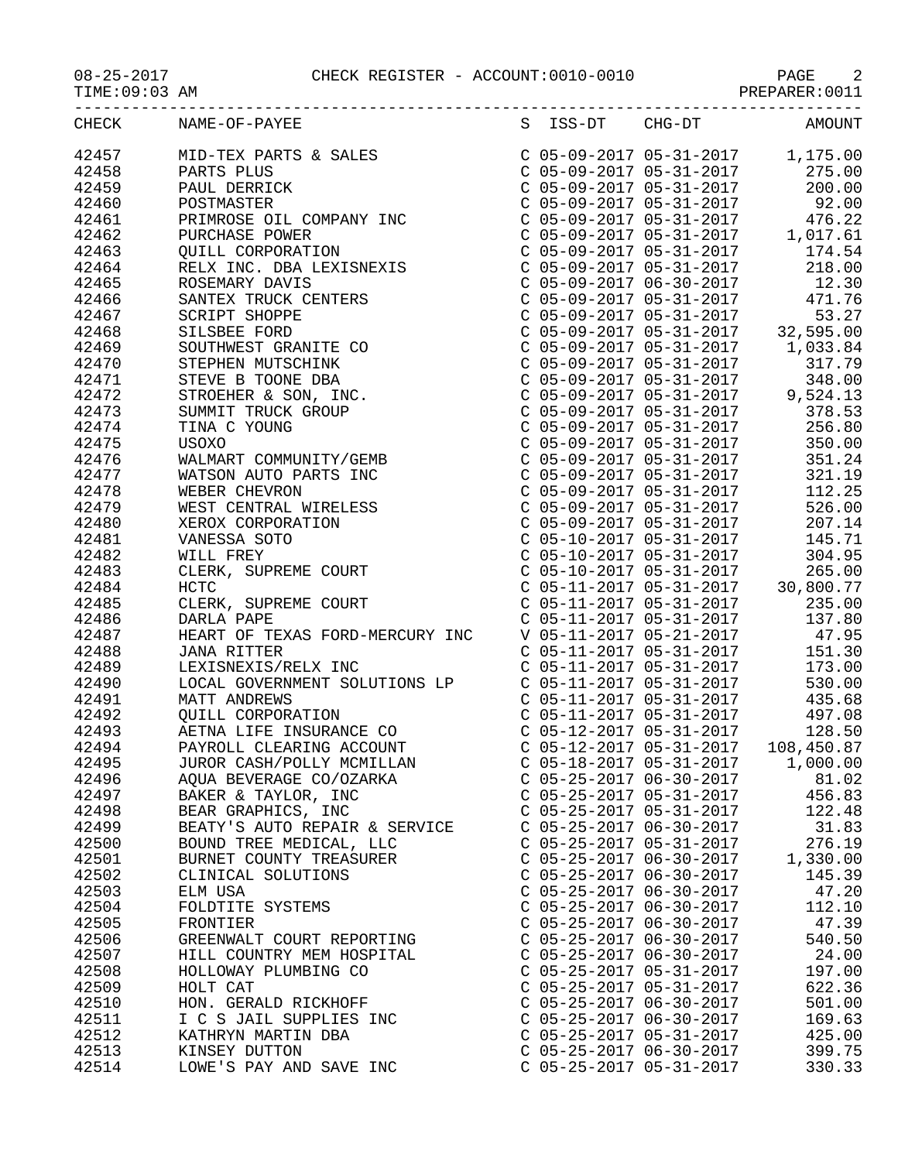## 08-25-2017 CHECK REGISTER - ACCOUNT:0010-0010 PAGE 2

PREPARER:0011

|                | CHECK NAME-OF-PAYEE                             |                           |                                                        | S ISS-DT CHG-DT AMOUNT |
|----------------|-------------------------------------------------|---------------------------|--------------------------------------------------------|------------------------|
|                |                                                 |                           |                                                        |                        |
|                |                                                 |                           |                                                        |                        |
|                |                                                 |                           |                                                        |                        |
|                |                                                 |                           |                                                        |                        |
|                |                                                 |                           |                                                        |                        |
|                |                                                 |                           |                                                        |                        |
|                |                                                 |                           |                                                        |                        |
|                |                                                 |                           |                                                        |                        |
|                |                                                 |                           |                                                        |                        |
|                |                                                 |                           |                                                        |                        |
|                |                                                 |                           |                                                        |                        |
|                |                                                 |                           |                                                        |                        |
|                |                                                 |                           |                                                        |                        |
|                |                                                 |                           |                                                        |                        |
|                |                                                 |                           |                                                        |                        |
|                |                                                 |                           |                                                        |                        |
|                |                                                 |                           |                                                        |                        |
|                |                                                 |                           |                                                        |                        |
|                |                                                 |                           |                                                        |                        |
|                |                                                 |                           |                                                        |                        |
|                |                                                 |                           |                                                        |                        |
|                |                                                 |                           |                                                        |                        |
|                |                                                 |                           |                                                        |                        |
|                |                                                 |                           |                                                        |                        |
|                |                                                 |                           |                                                        |                        |
|                |                                                 |                           |                                                        |                        |
|                |                                                 |                           |                                                        |                        |
|                |                                                 |                           |                                                        |                        |
|                |                                                 |                           |                                                        |                        |
|                |                                                 |                           |                                                        |                        |
|                |                                                 |                           |                                                        |                        |
|                |                                                 |                           |                                                        |                        |
|                |                                                 |                           |                                                        |                        |
|                |                                                 |                           |                                                        |                        |
|                |                                                 |                           |                                                        |                        |
|                |                                                 |                           |                                                        |                        |
|                |                                                 |                           |                                                        |                        |
|                |                                                 |                           |                                                        |                        |
| 42495          | JUROR CASH/POLLY MCMILLAN                       | C 05-18-2017 05-31-2017   |                                                        | 1,000.00               |
| 42496          | AQUA BEVERAGE CO/OZARKA                         | $C$ 05-25-2017 06-30-2017 |                                                        | 81.02                  |
| 42497          | BAKER & TAYLOR, INC                             |                           | $C$ 05-25-2017 05-31-2017                              | 456.83                 |
| 42498          | BEAR GRAPHICS, INC                              |                           | $C$ 05-25-2017 05-31-2017                              | 122.48                 |
| 42499          | BEATY'S AUTO REPAIR & SERVICE                   |                           | $C$ 05-25-2017 06-30-2017                              | 31.83                  |
| 42500          | BOUND TREE MEDICAL, LLC                         |                           | $C$ 05-25-2017 05-31-2017                              | 276.19                 |
| 42501          | BURNET COUNTY TREASURER                         |                           | $C$ 05-25-2017 06-30-2017                              | 1,330.00               |
| 42502          | CLINICAL SOLUTIONS                              |                           | $C$ 05-25-2017 06-30-2017                              | 145.39                 |
| 42503          | ELM USA                                         |                           | $C$ 05-25-2017 06-30-2017                              | 47.20                  |
| 42504          | FOLDTITE SYSTEMS                                |                           | $C$ 05-25-2017 06-30-2017                              | 112.10                 |
| 42505          | FRONTIER                                        | $C$ 05-25-2017 06-30-2017 |                                                        | 47.39                  |
| 42506          | GREENWALT COURT REPORTING                       | C 05-25-2017 06-30-2017   |                                                        | 540.50                 |
| 42507          | HILL COUNTRY MEM HOSPITAL                       |                           | $C$ 05-25-2017 06-30-2017                              | 24.00                  |
| 42508          | HOLLOWAY PLUMBING CO                            |                           | $C$ 05-25-2017 05-31-2017                              | 197.00                 |
| 42509          | HOLT CAT                                        |                           | $C$ 05-25-2017 05-31-2017<br>$C$ 05-25-2017 06-30-2017 | 622.36                 |
| 42510<br>42511 | HON. GERALD RICKHOFF<br>I C S JAIL SUPPLIES INC |                           | $C$ 05-25-2017 06-30-2017                              | 501.00<br>169.63       |
| 42512          |                                                 |                           | $C$ 05-25-2017 05-31-2017                              | 425.00                 |
| 42513          | KATHRYN MARTIN DBA<br>KINSEY DUTTON             |                           | $C$ 05-25-2017 06-30-2017                              | 399.75                 |
| 42514          | LOWE'S PAY AND SAVE INC                         |                           | $C$ 05-25-2017 05-31-2017                              | 330.33                 |
|                |                                                 |                           |                                                        |                        |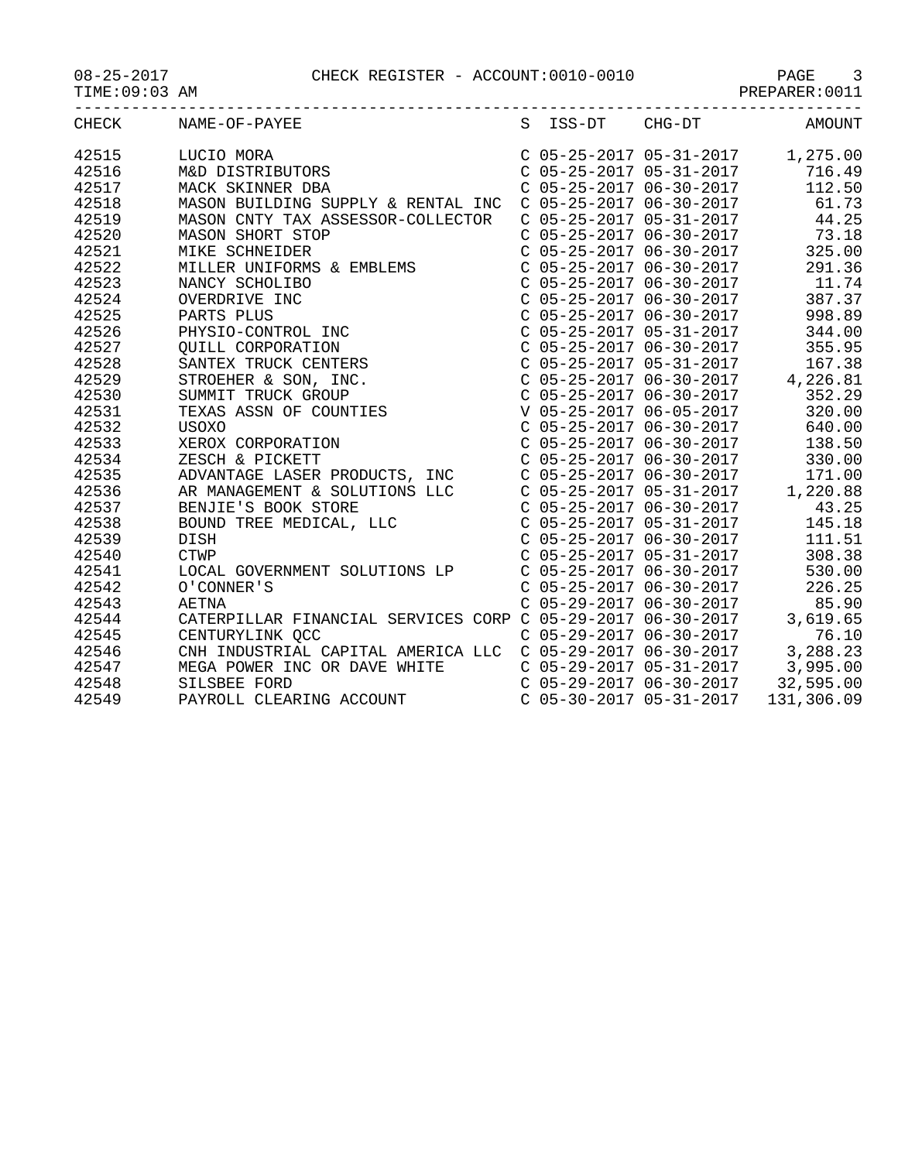08-25-2017 CHECK REGISTER - ACCOUNT:0010-0010 PAGE 3

TIME:09:03 AM PREPARER:0011

|       | CHECK NAME-OF-PAYEE S ISS-DT CHG-DT AMOUNT                                                                                                                                                                                                                                                                                                                          |  |                         |                                                                                                                     |
|-------|---------------------------------------------------------------------------------------------------------------------------------------------------------------------------------------------------------------------------------------------------------------------------------------------------------------------------------------------------------------------|--|-------------------------|---------------------------------------------------------------------------------------------------------------------|
| 42515 | LUCIO MORA<br>M&D DISTRIBUTORS<br>MACK SKINNER DBA                                                                                                                                                                                                                                                                                                                  |  |                         | $C$ 05-25-2017 05-31-2017 1,275.00                                                                                  |
| 42516 |                                                                                                                                                                                                                                                                                                                                                                     |  |                         | $\begin{array}{cccc}\n C & 05-25-2017 & 05-31-2017 & 716.49 \\  C & 05-25-2017 & 06-30-2017 & 112.50\n \end{array}$ |
| 42517 |                                                                                                                                                                                                                                                                                                                                                                     |  |                         |                                                                                                                     |
| 42518 | MASON BUILDING SUPPLY & RENTAL INC C 05-25-2017 06-30-2017 61.73                                                                                                                                                                                                                                                                                                    |  |                         |                                                                                                                     |
| 42519 | MASON CNTY TAX ASSESSOR-COLLECTOR                                                                                                                                                                                                                                                                                                                                   |  |                         | $C$ 05-25-2017 05-31-2017 44.25                                                                                     |
| 42520 | MASON SHORT STOP                                                                                                                                                                                                                                                                                                                                                    |  |                         | $C$ 05-25-2017 06-30-2017 73.18                                                                                     |
| 42521 | MASON SHORT STOP<br>MIKE SCHNEIDER<br>MILLER UNIFORMS & EMBLEMS<br>NAMAR GOUGI TRE                                                                                                                                                                                                                                                                                  |  |                         | $C$ 05-25-2017 06-30-2017 325.00                                                                                    |
| 42522 |                                                                                                                                                                                                                                                                                                                                                                     |  | C 05-25-2017 06-30-2017 | 291.36                                                                                                              |
| 42523 |                                                                                                                                                                                                                                                                                                                                                                     |  |                         |                                                                                                                     |
| 42524 |                                                                                                                                                                                                                                                                                                                                                                     |  |                         |                                                                                                                     |
| 42525 |                                                                                                                                                                                                                                                                                                                                                                     |  |                         |                                                                                                                     |
| 42526 |                                                                                                                                                                                                                                                                                                                                                                     |  |                         |                                                                                                                     |
| 42527 |                                                                                                                                                                                                                                                                                                                                                                     |  |                         |                                                                                                                     |
| 42528 |                                                                                                                                                                                                                                                                                                                                                                     |  |                         |                                                                                                                     |
| 42529 |                                                                                                                                                                                                                                                                                                                                                                     |  |                         |                                                                                                                     |
| 42530 |                                                                                                                                                                                                                                                                                                                                                                     |  |                         |                                                                                                                     |
| 42531 |                                                                                                                                                                                                                                                                                                                                                                     |  |                         |                                                                                                                     |
| 42532 |                                                                                                                                                                                                                                                                                                                                                                     |  |                         |                                                                                                                     |
| 42533 |                                                                                                                                                                                                                                                                                                                                                                     |  |                         |                                                                                                                     |
| 42534 |                                                                                                                                                                                                                                                                                                                                                                     |  |                         | 330.00                                                                                                              |
| 42535 |                                                                                                                                                                                                                                                                                                                                                                     |  |                         |                                                                                                                     |
| 42536 |                                                                                                                                                                                                                                                                                                                                                                     |  |                         |                                                                                                                     |
| 42537 |                                                                                                                                                                                                                                                                                                                                                                     |  |                         |                                                                                                                     |
| 42538 |                                                                                                                                                                                                                                                                                                                                                                     |  |                         |                                                                                                                     |
| 42539 |                                                                                                                                                                                                                                                                                                                                                                     |  |                         |                                                                                                                     |
| 42540 |                                                                                                                                                                                                                                                                                                                                                                     |  |                         |                                                                                                                     |
| 42541 |                                                                                                                                                                                                                                                                                                                                                                     |  |                         |                                                                                                                     |
| 42542 |                                                                                                                                                                                                                                                                                                                                                                     |  |                         |                                                                                                                     |
| 42543 |                                                                                                                                                                                                                                                                                                                                                                     |  |                         |                                                                                                                     |
| 42544 |                                                                                                                                                                                                                                                                                                                                                                     |  |                         |                                                                                                                     |
| 42545 |                                                                                                                                                                                                                                                                                                                                                                     |  |                         |                                                                                                                     |
| 42546 |                                                                                                                                                                                                                                                                                                                                                                     |  |                         |                                                                                                                     |
| 42547 | $\begin{tabular}{l c c c c} \multicolumn{4}{l}{\textbf{MILER UNIPORMS & \textbf{G} HOLING} & \textbf{C 05-25-2017 06-30-2017} & 221.36 \\ \multicolumn{4}{l}{\textbf{MIMNC SCHOLING} } & \textbf{C 05-25-2017 06-30-2017} & 11.74 \\ \multicolumn{4}{l}{\textbf{MINIST PILUS}} & \textbf{C 05-25-2017 06-30-2017} & 11.74 \\ \multicolumn{4}{l}{\textbf{PINST D} -$ |  |                         |                                                                                                                     |
| 42548 |                                                                                                                                                                                                                                                                                                                                                                     |  |                         |                                                                                                                     |
| 42549 | MEGA POWER INC OR DAVE WHITE<br>SILSBEE FORD<br>C 05-29-2017 05-31-2017 32,595.00<br>C 05-29-2017 06-30-2017 32,595.00<br>C 05-30-2017 05-31-2017 131,306.09                                                                                                                                                                                                        |  |                         |                                                                                                                     |